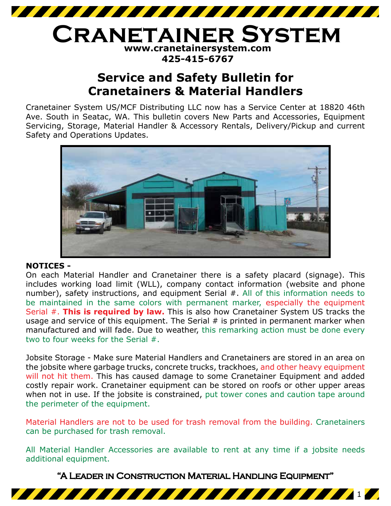

## **www.cranetainersystem.com 425-415-6767 Cranetainer System**

# **Service and Safety Bulletin for Cranetainers & Material Handlers**

Cranetainer System US/MCF Distributing LLC now has a Service Center at 18820 46th Ave. South in Seatac, WA. This bulletin covers New Parts and Accessories, Equipment Servicing, Storage, Material Handler & Accessory Rentals, Delivery/Pickup and current Safety and Operations Updates.



### **NOTICES -**

On each Material Handler and Cranetainer there is a safety placard (signage). This includes working load limit (WLL), company contact information (website and phone number), safety instructions, and equipment Serial #. All of this information needs to be maintained in the same colors with permanent marker, especially the equipment Serial #. **This is required by law.** This is also how Cranetainer System US tracks the usage and service of this equipment. The Serial  $#$  is printed in permanent marker when manufactured and will fade. Due to weather, this remarking action must be done every two to four weeks for the Serial #.

Jobsite Storage - Make sure Material Handlers and Cranetainers are stored in an area on the jobsite where garbage trucks, concrete trucks, trackhoes, and other heavy equipment will not hit them. This has caused damage to some Cranetainer Equipment and added costly repair work. Cranetainer equipment can be stored on roofs or other upper areas when not in use. If the jobsite is constrained, put tower cones and caution tape around the perimeter of the equipment.

Material Handlers are not to be used for trash removal from the building. Cranetainers can be purchased for trash removal.

All Material Handler Accessories are available to rent at any time if a jobsite needs additional equipment.

"A Leader in Construction Material Handling Equipment"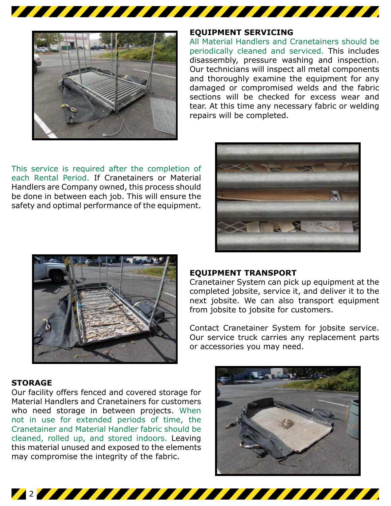

## **EQUIPMENT SERVICING**

All Material Handlers and Cranetainers should be periodically cleaned and serviced. This includes disassembly, pressure washing and inspection. Our technicians will inspect all metal components and thoroughly examine the equipment for any damaged or compromised welds and the fabric sections will be checked for excess wear and tear. At this time any necessary fabric or welding repairs will be completed.

This service is required after the completion of each Rental Period. If Cranetainers or Material Handlers are Company owned, this process should be done in between each job. This will ensure the safety and optimal performance of the equipment.





#### **EQUIPMENT TRANSPORT**

2

Cranetainer System can pick up equipment at the completed jobsite, service it, and deliver it to the next jobsite. We can also transport equipment from jobsite to jobsite for customers.

Contact Cranetainer System for jobsite service. Our service truck carries any replacement parts or accessories you may need.

#### **STORAGE**

Our facility offers fenced and covered storage for Material Handlers and Cranetainers for customers who need storage in between projects. When not in use for extended periods of time, the Cranetainer and Material Handler fabric should be cleaned, rolled up, and stored indoors. Leaving this material unused and exposed to the elements may compromise the integrity of the fabric.

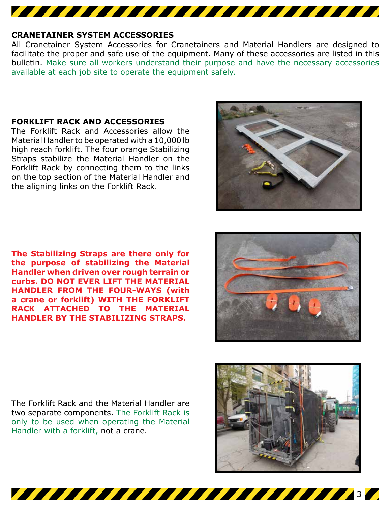

#### **CRANETAINER SYSTEM ACCESSORIES**

All Cranetainer System Accessories for Cranetainers and Material Handlers are designed to facilitate the proper and safe use of the equipment. Many of these accessories are listed in this bulletin. Make sure all workers understand their purpose and have the necessary accessories available at each job site to operate the equipment safely.

30 SIMBO 200 SIMBO 200 SIMBO 200 SIMBO 200 SIMBO 200 SIMBO 200 SIMBO 200 SIMBO 200 SIMBO 200 SIMBO 200 SIMBO 20

## **FORKLIFT RACK AND ACCESSORIES**

The Forklift Rack and Accessories allow the Material Handler to be operated with a 10,000 lb high reach forklift. The four orange Stabilizing Straps stabilize the Material Handler on the Forklift Rack by connecting them to the links on the top section of the Material Handler and the aligning links on the Forklift Rack.

**The Stabilizing Straps are there only for the purpose of stabilizing the Material Handler when driven over rough terrain or curbs. DO NOT EVER LIFT THE MATERIAL HANDLER FROM THE FOUR-WAYS (with a crane or forklift) WITH THE FORKLIFT RACK ATTACHED TO THE MATERIAL HANDLER BY THE STABILIZING STRAPS.**

The Forklift Rack and the Material Handler are two separate components. The Forklift Rack is only to be used when operating the Material Handler with a forklift, not a crane.





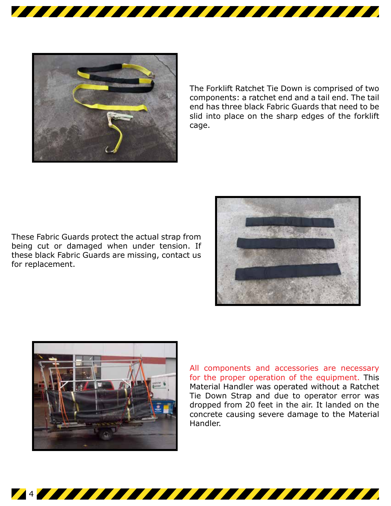

The Forklift Ratchet Tie Down is comprised of two components: a ratchet end and a tail end. The tail end has three black Fabric Guards that need to be slid into place on the sharp edges of the forklift cage.

These Fabric Guards protect the actual strap from being cut or damaged when under tension. If these black Fabric Guards are missing, contact us for replacement.





All components and accessories are necessary for the proper operation of the equipment. This Material Handler was operated without a Ratchet Tie Down Strap and due to operator error was dropped from 20 feet in the air. It landed on the concrete causing severe damage to the Material Handler.

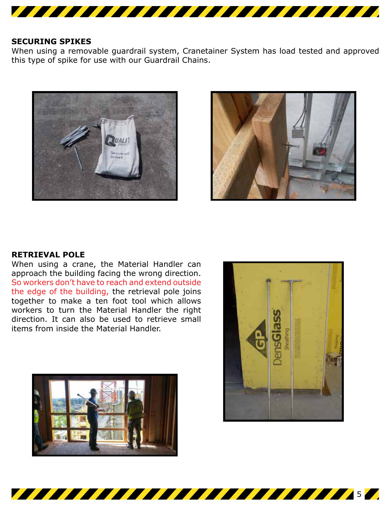

#### **SECURING SPIKES**

When using a removable guardrail system, Cranetainer System has load tested and approved this type of spike for use with our Guardrail Chains.

5





### **RETRIEVAL POLE**

When using a crane, the Material Handler can approach the building facing the wrong direction. So workers don't have to reach and extend outside the edge of the building, the retrieval pole joins together to make a ten foot tool which allows workers to turn the Material Handler the right direction. It can also be used to retrieve small items from inside the Material Handler.



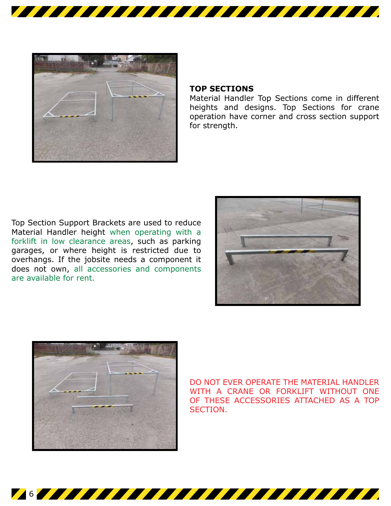

6



## **TOP SECTIONS**

Material Handler Top Sections come in different heights and designs. Top Sections for crane operation have corner and cross section support for strength.

Top Section Support Brackets are used to reduce Material Handler height when operating with a forklift in low clearance areas, such as parking garages, or where height is restricted due to overhangs. If the jobsite needs a component it does not own, all accessories and components are available for rent.





DO NOT EVER OPERATE THE MATERIAL HANDLER WITH A CRANE OR FORKLIFT WITHOUT ONE OF THESE ACCESSORIES ATTACHED AS A TOP SECTION.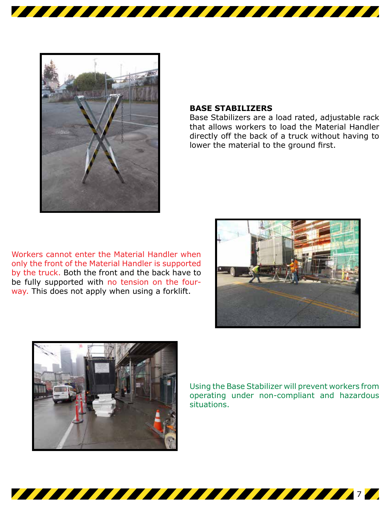

#### **BASE STABILIZERS**

Base Stabilizers are a load rated, adjustable rack that allows workers to load the Material Handler directly off the back of a truck without having to lower the material to the ground first.

Workers cannot enter the Material Handler when only the front of the Material Handler is supported by the truck. Both the front and the back have to be fully supported with no tension on the fourway. This does not apply when using a forklift.





Using the Base Stabilizer will prevent workers from operating under non-compliant and hazardous situations.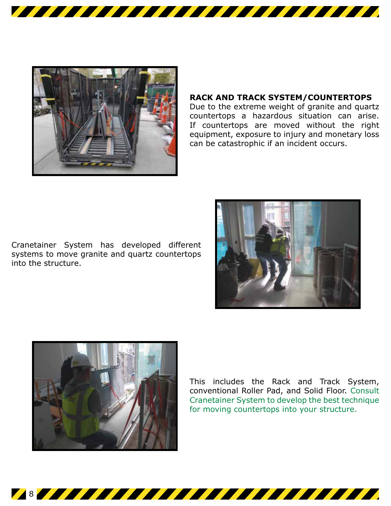

<u> 1977 - 1977 - 1977 - 1977 - 1977 - 1977 - 1977 - 1977 - 1977 - 1977 - 1977 - 1977 - 1977 - 1977 - 1977 - 19</u>

## **RACK AND TRACK SYSTEM/COUNTERTOPS**

Due to the extreme weight of granite and quartz countertops a hazardous situation can arise. If countertops are moved without the right equipment, exposure to injury and monetary loss can be catastrophic if an incident occurs.

Cranetainer System has developed different systems to move granite and quartz countertops into the structure.





8

This includes the Rack and Track System, conventional Roller Pad, and Solid Floor. Consult Cranetainer System to develop the best technique for moving countertops into your structure.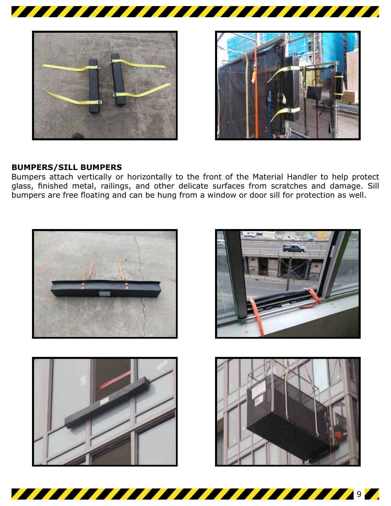



## **BUMPERS/SILL BUMPERS**

Bumpers attach vertically or horizontally to the front of the Material Handler to help protect glass, finished metal, railings, and other delicate surfaces from scratches and damage. Sill bumpers are free floating and can be hung from a window or door sill for protection as well.

<u> 1977 - 1977 - 1977 - 1978 - 1979 - 1979 - 1979 - 1979 - 1979 - 1979 - 1979 - 1979 - 1979 - 1979 - 1979 - 19</u>







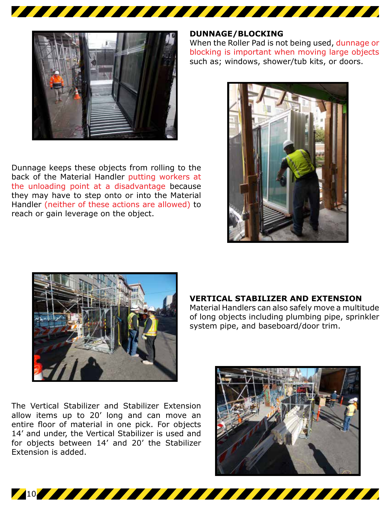

Dunnage keeps these objects from rolling to the back of the Material Handler putting workers at the unloading point at a disadvantage because they may have to step onto or into the Material Handler (neither of these actions are allowed) to reach or gain leverage on the object.

#### **DUNNAGE/BLOCKING**

When the Roller Pad is not being used, dunnage or blocking is important when moving large objects such as; windows, shower/tub kits, or doors.





#### **VERTICAL STABILIZER AND EXTENSION**

Material Handlers can also safely move a multitude of long objects including plumbing pipe, sprinkler system pipe, and baseboard/door trim.

The Vertical Stabilizer and Stabilizer Extension allow items up to 20' long and can move an entire floor of material in one pick. For objects 14' and under, the Vertical Stabilizer is used and for objects between 14' and 20' the Stabilizer Extension is added.

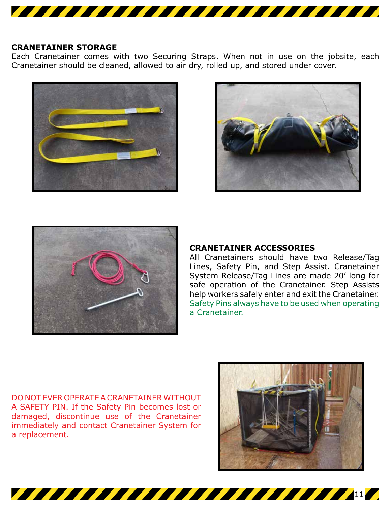

## **CRANETAINER STORAGE**

Each Cranetainer comes with two Securing Straps. When not in use on the jobsite, each Cranetainer should be cleaned, allowed to air dry, rolled up, and stored under cover.

11







#### **CRANETAINER ACCESSORIES**

All Cranetainers should have two Release/Tag Lines, Safety Pin, and Step Assist. Cranetainer System Release/Tag Lines are made 20' long for safe operation of the Cranetainer. Step Assists help workers safely enter and exit the Cranetainer. Safety Pins always have to be used when operating a Cranetainer.

DO NOT EVER OPERATE A CRANETAINER WITHOUT A SAFETY PIN. If the Safety Pin becomes lost or damaged, discontinue use of the Cranetainer immediately and contact Cranetainer System for a replacement.